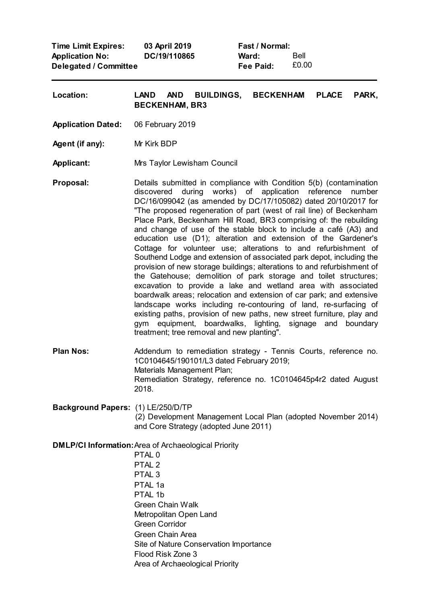**Time Limit Expires: Application No: Delegated / Committee 03 April 2019 DC/19/110865**

**Fast / Normal: Ward: Fee Paid:** Bell £0.00

| Location:                          | <b>PLACE</b><br>LAND AND<br><b>BUILDINGS,</b><br><b>BECKENHAM</b><br>PARK,<br><b>BECKENHAM, BR3</b>                                                                                                                                                                                                                                                                                                                                                                                                                                                                                                                                                                                                                                                                                                                                                                                                                                                                                                                                                                                                                                                                               |
|------------------------------------|-----------------------------------------------------------------------------------------------------------------------------------------------------------------------------------------------------------------------------------------------------------------------------------------------------------------------------------------------------------------------------------------------------------------------------------------------------------------------------------------------------------------------------------------------------------------------------------------------------------------------------------------------------------------------------------------------------------------------------------------------------------------------------------------------------------------------------------------------------------------------------------------------------------------------------------------------------------------------------------------------------------------------------------------------------------------------------------------------------------------------------------------------------------------------------------|
| <b>Application Dated:</b>          | 06 February 2019                                                                                                                                                                                                                                                                                                                                                                                                                                                                                                                                                                                                                                                                                                                                                                                                                                                                                                                                                                                                                                                                                                                                                                  |
| Agent (if any):                    | Mr Kirk BDP                                                                                                                                                                                                                                                                                                                                                                                                                                                                                                                                                                                                                                                                                                                                                                                                                                                                                                                                                                                                                                                                                                                                                                       |
| <b>Applicant:</b>                  | Mrs Taylor Lewisham Council                                                                                                                                                                                                                                                                                                                                                                                                                                                                                                                                                                                                                                                                                                                                                                                                                                                                                                                                                                                                                                                                                                                                                       |
| Proposal:                          | Details submitted in compliance with Condition 5(b) (contamination<br>discovered during works) of application reference number<br>DC/16/099042 (as amended by DC/17/105082) dated 20/10/2017 for<br>"The proposed regeneration of part (west of rail line) of Beckenham<br>Place Park, Beckenham Hill Road, BR3 comprising of: the rebuilding<br>and change of use of the stable block to include a café (A3) and<br>education use (D1); alteration and extension of the Gardener's<br>Cottage for volunteer use; alterations to and refurbishment of<br>Southend Lodge and extension of associated park depot, including the<br>provision of new storage buildings; alterations to and refurbishment of<br>the Gatehouse; demolition of park storage and toilet structures;<br>excavation to provide a lake and wetland area with associated<br>boardwalk areas; relocation and extension of car park; and extensive<br>landscape works including re-contouring of land, re-surfacing of<br>existing paths, provision of new paths, new street furniture, play and<br>equipment, boardwalks, lighting, signage and boundary<br>gym<br>treatment; tree removal and new planting". |
| <b>Plan Nos:</b>                   | Addendum to remediation strategy - Tennis Courts, reference no.<br>1C0104645/190101/L3 dated February 2019;<br>Materials Management Plan;<br>Remediation Strategy, reference no. 1C0104645p4r2 dated August<br>2018.                                                                                                                                                                                                                                                                                                                                                                                                                                                                                                                                                                                                                                                                                                                                                                                                                                                                                                                                                              |
| Background Papers: (1) LE/250/D/TP | (2) Development Management Local Plan (adopted November 2014)<br>and Core Strategy (adopted June 2011)                                                                                                                                                                                                                                                                                                                                                                                                                                                                                                                                                                                                                                                                                                                                                                                                                                                                                                                                                                                                                                                                            |
|                                    | <b>DMLP/CI Information: Area of Archaeological Priority</b><br>PTAL <sub>0</sub><br>PTAL <sub>2</sub><br>PTAL <sub>3</sub><br>PTAL 1a<br>PTAL 1b<br><b>Green Chain Walk</b><br>Metropolitan Open Land<br><b>Green Corridor</b><br>Green Chain Area<br>Site of Nature Conservation Importance                                                                                                                                                                                                                                                                                                                                                                                                                                                                                                                                                                                                                                                                                                                                                                                                                                                                                      |

- Flood Risk Zone 3
- Area of Archaeological Priority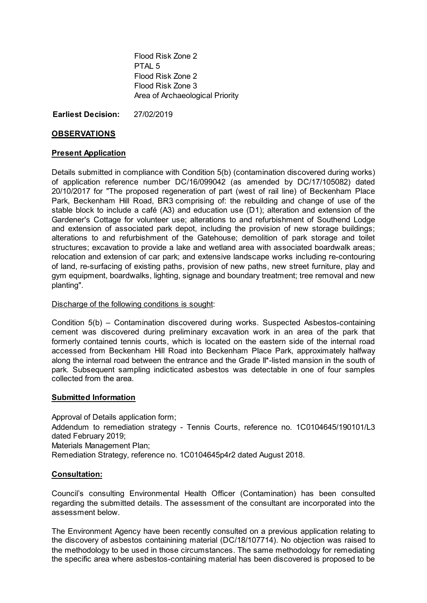Flood Risk Zone 2 PTAL 5 Flood Risk Zone 2 Flood Risk Zone 3 Area of Archaeological Priority

**Earliest Decision:** 27/02/2019

# **OBSERVATIONS**

# **Present Application**

Details submitted in compliance with Condition 5(b) (contamination discovered during works) of application reference number DC/16/099042 (as amended by DC/17/105082) dated 20/10/2017 for "The proposed regeneration of part (west of rail line) of Beckenham Place Park, Beckenham Hill Road, BR3 comprising of: the rebuilding and change of use of the stable block to include a café (A3) and education use (D1); alteration and extension of the Gardener's Cottage for volunteer use; alterations to and refurbishment of Southend Lodge and extension of associated park depot, including the provision of new storage buildings; alterations to and refurbishment of the Gatehouse; demolition of park storage and toilet structures; excavation to provide a lake and wetland area with associated boardwalk areas; relocation and extension of car park; and extensive landscape works including re-contouring of land, re-surfacing of existing paths, provision of new paths, new street furniture, play and gym equipment, boardwalks, lighting, signage and boundary treatment; tree removal and new planting".

### Discharge of the following conditions is sought:

Condition 5(b) – Contamination discovered during works. Suspected Asbestos-containing cement was discovered during preliminary excavation work in an area of the park that formerly contained tennis courts, which is located on the eastern side of the internal road accessed from Beckenham Hill Road into Beckenham Place Park, approximately halfway along the internal road between the entrance and the Grade II\*-listed mansion in the south of park. Subsequent sampling indicticated asbestos was detectable in one of four samples collected from the area.

### **Submitted Information**

Approval of Details application form; Addendum to remediation strategy - Tennis Courts, reference no. 1C0104645/190101/L3 dated February 2019; Materials Management Plan; Remediation Strategy, reference no. 1C0104645p4r2 dated August 2018.

# **Consultation:**

Council's consulting Environmental Health Officer (Contamination) has been consulted regarding the submitted details. The assessment of the consultant are incorporated into the assessment below.

The Environment Agency have been recently consulted on a previous application relating to the discovery of asbestos containining material (DC/18/107714). No objection was raised to the methodology to be used in those circumstances. The same methodology for remediating the specific area where asbestos-containing material has been discovered is proposed to be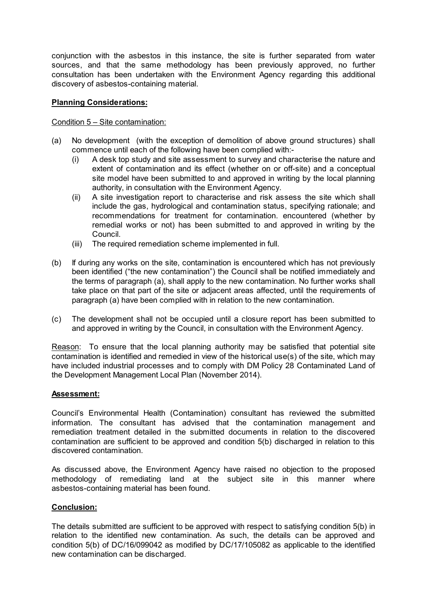conjunction with the asbestos in this instance, the site is further separated from water sources, and that the same methodology has been previously approved, no further consultation has been undertaken with the Environment Agency regarding this additional discovery of asbestos-containing material.

# **Planning Considerations:**

# Condition 5 – Site contamination:

- (a) No development (with the exception of demolition of above ground structures) shall commence until each of the following have been complied with:-
	- (i) A desk top study and site assessment to survey and characterise the nature and extent of contamination and its effect (whether on or off-site) and a conceptual site model have been submitted to and approved in writing by the local planning authority, in consultation with the Environment Agency.
	- (ii) A site investigation report to characterise and risk assess the site which shall include the gas, hydrological and contamination status, specifying rationale; and recommendations for treatment for contamination. encountered (whether by remedial works or not) has been submitted to and approved in writing by the Council.
	- (iii) The required remediation scheme implemented in full.
- (b) If during any works on the site, contamination is encountered which has not previously been identified ("the new contamination") the Council shall be notified immediately and the terms of paragraph (a), shall apply to the new contamination. No further works shall take place on that part of the site or adjacent areas affected, until the requirements of paragraph (a) have been complied with in relation to the new contamination.
- (c) The development shall not be occupied until a closure report has been submitted to and approved in writing by the Council, in consultation with the Environment Agency.

Reason: To ensure that the local planning authority may be satisfied that potential site contamination is identified and remedied in view of the historical use(s) of the site, which may have included industrial processes and to comply with DM Policy 28 Contaminated Land of the Development Management Local Plan (November 2014).

# **Assessment:**

Council's Environmental Health (Contamination) consultant has reviewed the submitted information. The consultant has advised that the contamination management and remediation treatment detailed in the submitted documents in relation to the discovered contamination are sufficient to be approved and condition 5(b) discharged in relation to this discovered contamination.

As discussed above, the Environment Agency have raised no objection to the proposed methodology of remediating land at the subject site in this manner where asbestos-containing material has been found.

# **Conclusion:**

The details submitted are sufficient to be approved with respect to satisfying condition 5(b) in relation to the identified new contamination. As such, the details can be approved and condition 5(b) of DC/16/099042 as modified by DC/17/105082 as applicable to the identified new contamination can be discharged.